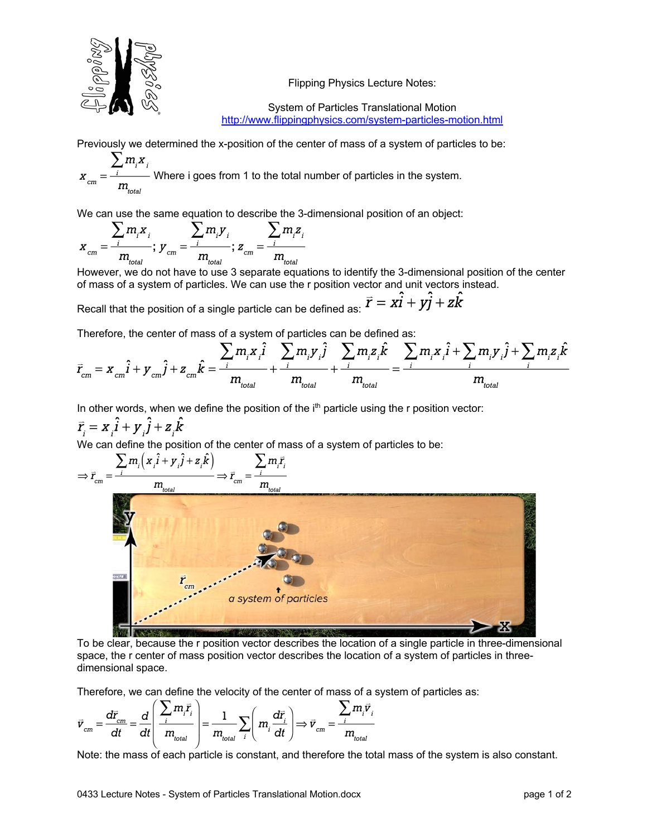

Flipping Physics Lecture Notes:

System of Particles Translational Motion http://www.flippingphysics.com/system-particles-motion.html

Previously we determined the x-position of the center of mass of a system of particles to be:

 $x_{cm} = \frac{\sum_{i} m_{i}x_{i}}{m}$  Where i goes from 1 to the total number of particles in the system.

We can use the same equation to describe the 3-dimensional position of an object:

$$
x_{cm} = \frac{\sum_{i} m_{i} x_{i}}{m_{total}}; y_{cm} = \frac{\sum_{i} m_{i} y_{i}}{m_{total}}; z_{cm} = \frac{\sum_{i} m_{i} z_{i}}{m_{total}}
$$

However, we do not have to use 3 separate equations to identify the 3-dimensional position of the center of mass of a system of particles. We can use the r position vector and unit vectors instead.

Recall that the position of a single particle can be defined as:  $\vec{r} = x\hat{i} + y\hat{j} + z\hat{k}$ 

Therefore, the center of mass of a system of particles can be defined as:

$$
\vec{r}_{cm} = x_{cm}\hat{i} + y_{cm}\hat{j} + z_{cm}\hat{k} = \frac{\sum_{i} m_{i}x_{i}\hat{i}}{m_{\text{total}}} + \frac{\sum_{i} m_{i}y_{i}\hat{j}}{m_{\text{total}}} + \frac{\sum_{i} m_{i}z_{i}\hat{k}}{m_{\text{total}}} = \frac{\sum_{i} m_{i}x_{i}\hat{i} + \sum_{i} m_{i}y_{i}\hat{j} + \sum_{i} m_{i}z_{i}\hat{k}}{m_{\text{total}}}
$$

In other words, when we define the position of the  $i<sup>th</sup>$  particle using the r position vector:

 $\vec{r}_i = x_i \hat{i} + y_i \hat{j} + z_i \hat{k}$ 



To be clear, because the r position vector describes the location of a single particle in three-dimensional space, the r center of mass position vector describes the location of a system of particles in threedimensional space.

Therefore, we can define the velocity of the center of mass of a system of particles as:

$$
\vec{v}_{cm} = \frac{d\vec{r}_{cm}}{dt} = \frac{d}{dt} \left( \frac{\sum_{i} m_{i} \vec{r}_{i}}{m_{\text{total}}} \right) = \frac{1}{m_{\text{total}}} \sum_{i} \left( m_{i} \frac{d\vec{r}_{i}}{dt} \right) \Longrightarrow \vec{v}_{cm} = \frac{\sum_{i} m_{i} \vec{v}_{i}}{m_{\text{total}}}
$$

Note: the mass of each particle is constant, and therefore the total mass of the system is also constant.